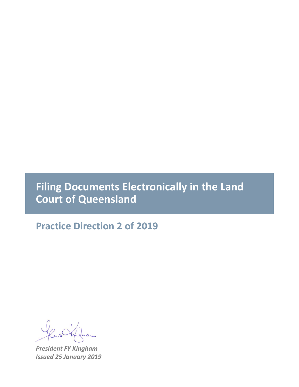## **Filing Documents Electronically in the Land Court of Queensland**

**Practice Direction 2 of 2019**

*President FY Kingham Issued 25 January 2019*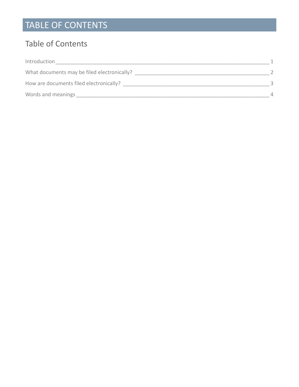# TABLE OF CONTENTS

#### Table of Contents

| Introduction                                |          |
|---------------------------------------------|----------|
| What documents may be filed electronically? |          |
| How are documents filed electronically?     |          |
| Words and meanings                          | $\Delta$ |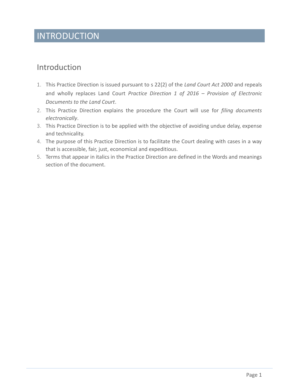## INTRODUCTION

#### <span id="page-2-0"></span>Introduction

- 1. This Practice Direction is issued pursuant to s 22(2) of the *Land Court Act 2000* and repeals and wholly replaces Land Court *Practice Direction 1 of 2016 – Provision of Electronic Documents to the Land Court*.
- 2. This Practice Direction explains the procedure the Court will use for *filing documents electronically*.
- 3. This Practice Direction is to be applied with the objective of avoiding undue delay, expense and technicality.
- 4. The purpose of this Practice Direction is to facilitate the Court dealing with cases in a way that is accessible, fair, just, economical and expeditious.
- 5. Terms that appear in italics in the Practice Direction are defined in the Words and meanings section of the document.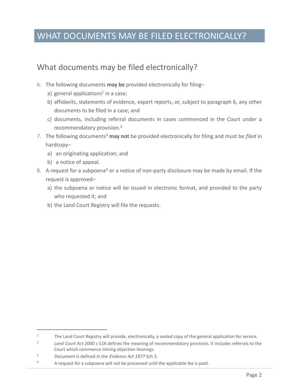## WHAT DOCUMENTS MAY BE FILED ELECTRONICALLY?

#### <span id="page-3-0"></span>What documents may be filed electronically?

- 6. The following documents **may be** provided electronically for filing–
	- a) general applications<sup>1</sup> in a case;
	- b) affidavits, statements of evidence, expert reports, or, subject to paragraph 6, any other documents to be filed in a case; and
	- c) documents, including referral documents in cases commenced in the Court under a recommendatory provision.<sup>2</sup>
- 7. The following documents<sup>3</sup> **may not** be provided electronically for filing and must be *filed* in hardcopy–
	- a) an originating application; and
	- b) a notice of appeal.
- 8. A request for a subpoena<sup>4</sup> or a notice of non-party disclosure may be made by email. If the request is approved–
	- a) the subpoena or notice will be issued in electronic format, and provided to the party who requested it; and
	- b) the Land Court Registry will file the requests.

 $\overline{a}$ 

<sup>&</sup>lt;sup>1</sup> The Land Court Registry will provide, electronically, a sealed copy of the general application for service.

<sup>2</sup> *Land Court Act 2000* s 52A defines the meaning of recommendatory provision. It includes referrals to the Court which commence mining objection hearings.

<sup>3</sup> Document is defined in the *Evidence Act 1977* Sch 3.

 $4$  A request for a subpoena will not be processed until the applicable fee is paid.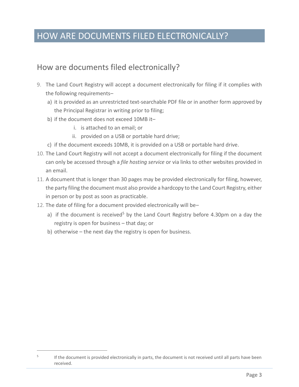## HOW ARE DOCUMENTS FILED ELECTRONICALLY?

#### <span id="page-4-0"></span>How are documents filed electronically?

- 9. The Land Court Registry will accept a document electronically for filing if it complies with the following requirements–
	- a) it is provided as an unrestricted text-searchable PDF file or in another form approved by the Principal Registrar in writing prior to filing;
	- b) if the document does not exceed 10MB it–
		- i. is attached to an email; or
		- ii. provided on a USB or portable hard drive;
	- c) if the document exceeds 10MB, it is provided on a USB or portable hard drive.
- 10. The Land Court Registry will not accept a document electronically for filing if the document can only be accessed through a *file hosting service* or via links to other websites provided in an email.
- 11. A document that is longer than 30 pages may be provided electronically for filing, however, the party filing the document must also provide a hardcopy to the Land Court Registry, either in person or by post as soon as practicable.
- 12. The date of filing for a document provided electronically will be–
	- a) if the document is received<sup>5</sup> by the Land Court Registry before 4.30pm on a day the registry is open for business – that day; or
	- b) otherwise the next day the registry is open for business.

 $\overline{a}$ 

<sup>5</sup> If the document is provided electronically in parts, the document is not received until all parts have been received.